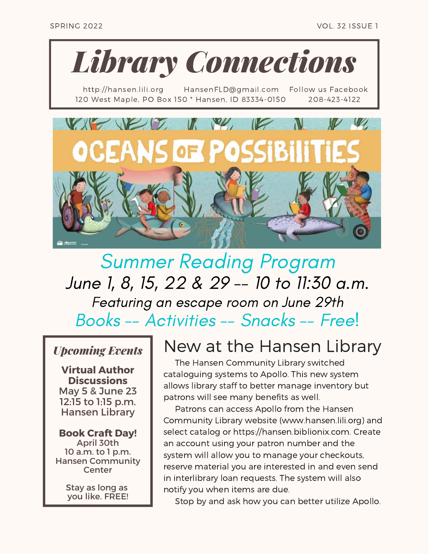

http://hansen.lili.org HansenFLD@gmail.com Follow us Facebook 120 West Maple, PO Box 150 \* Hansen, ID 83334-0150 208-423-4122



## Summer Reading Program June 1, 8, 15, 22 & 29 -- 10 to 11:30 a.m. Featuring an escape room on June 29th Books -- Activities -- Snacks -- Free!

### *Upcoming Events*

**Virtual Author Discussions** May 5 & June 23 12:15 to 1:15 p.m. Hansen Library

#### **Book Craft Day!**

April 30th 10 a.m. to 1 p.m. Hansen Community **Center** 

> Stay as long as you like. FREE!

## New at the Hansen Library

The Hansen Community Library switched cataloguing systems to Apollo. This new system allows library staff to better manage inventory but patrons will see many benefits as well.

Patrons can access Apollo from the Hansen Community Library website (www.hansen.lili.org) and select catalog or https://hansen.biblionix.com. Create an account using your patron number and the system will allow you to manage your checkouts, reserve material you are interested in and even send in interlibrary loan requests. The system will also notify you when items are due.

Stop by and ask how you can better utilize Apollo.